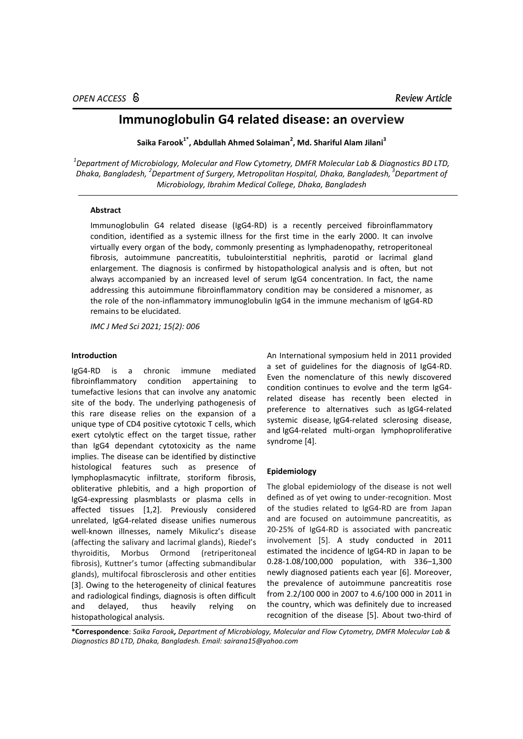# **Immunoglobulin G4 related disease: an overview**

**Saika Farook1\* , Abdullah Ahmed Solaiman<sup>2</sup> , Md. Shariful Alam Jilani<sup>3</sup>**

*1 Department of Microbiology, Molecular and Flow Cytometry, DMFR Molecular Lab & Diagnostics BD LTD, Dhaka, Bangladesh, <sup>2</sup> Department of Surgery, Metropolitan Hospital, Dhaka, Bangladesh, <sup>3</sup> Department of Microbiology, Ibrahim Medical College, Dhaka, Bangladesh*

## **Abstract**

Immunoglobulin G4 related disease (IgG4-RD) is a recently perceived fibroinflammatory condition, identified as a systemic illness for the first time in the early 2000. It can involve virtually every organ of the body, commonly presenting as lymphadenopathy, retroperitoneal fibrosis, autoimmune pancreatitis, tubulointerstitial nephritis, parotid or lacrimal gland enlargement. The diagnosis is confirmed by histopathological analysis and is often, but not always accompanied by an increased level of serum IgG4 concentration. In fact, the name addressing this autoimmune fibroinflammatory condition may be considered a misnomer, as the role of the non-inflammatory immunoglobulin IgG4 in the immune mechanism of IgG4-RD remains to be elucidated.

*IMC J Med Sci 2021; 15(2): 006*

# **Introduction**

IgG4-RD is a chronic immune mediated fibroinflammatory condition appertaining to tumefactive lesions that can involve any anatomic site of the body. The underlying pathogenesis of this rare disease relies on the expansion of a unique type of CD4 positive cytotoxic T cells, which exert cytolytic effect on the target tissue, rather than IgG4 dependant cytotoxicity as the name implies. The disease can be identified by distinctive histological features such as presence of lymphoplasmacytic infiltrate, storiform fibrosis, obliterative phlebitis, and a high proportion of IgG4-expressing plasmblasts or plasma cells in affected tissues [1,2]. Previously considered unrelated, IgG4-related disease unifies numerous well-known illnesses, namely Mikulicz's disease (affecting the salivary and lacrimal glands), Riedel's thyroiditis, Morbus Ormond (retriperitoneal fibrosis), Kuttner's tumor (affecting submandibular glands), multifocal fibrosclerosis and other entities [3]. Owing to the heterogeneity of clinical features and radiological findings, diagnosis is often difficult and delayed, thus heavily relying on histopathological analysis.

An International symposium held in 2011 provided a set of guidelines for the diagnosis of IgG4-RD. Even the nomenclature of this newly discovered condition continues to evolve and the term IgG4 related disease has recently been elected in preference to alternatives such as IgG4-related systemic disease, IgG4-related sclerosing disease, and IgG4-related multi-organ lymphoproliferative syndrome [4].

#### **Epidemiology**

The global epidemiology of the disease is not well defined as of yet owing to under-recognition. Most of the studies related to IgG4-RD are from Japan and are focused on autoimmune pancreatitis, as 20-25% of IgG4-RD is associated with pancreatic involvement [5]. A study conducted in 2011 estimated the incidence of IgG4-RD in Japan to be 0.28-1.08/100,000 population, with 336–1,300 newly diagnosed patients each year [6]. Moreover, the prevalence of autoimmune pancreatitis rose from 2.2/100 000 in 2007 to 4.6/100 000 in 2011 in the country, which was definitely due to increased recognition of the disease [5]. About two-third of

**\*Correspondence**: *Saika Farook, Department of Microbiology, Molecular and Flow Cytometry, DMFR Molecular Lab & Diagnostics BD LTD, Dhaka, Bangladesh. Email: [sairana15@yahoo.com](mailto:sairana15@yahoo.com)*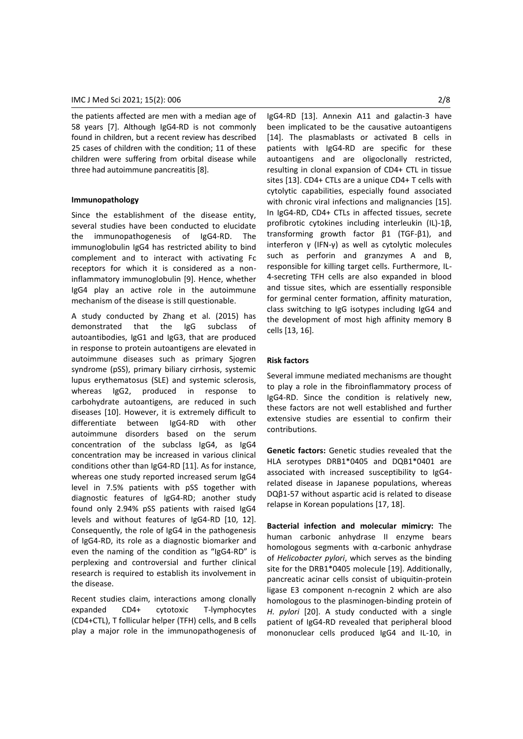the patients affected are men with a median age of 58 years [7]. Although IgG4-RD is not commonly found in children, but a recent review has described 25 cases of children with the condition; 11 of these children were suffering from orbital disease while three had autoimmune pancreatitis [8].

## **Immunopathology**

Since the establishment of the disease entity, several studies have been conducted to elucidate the immunopathogenesis of IgG4-RD. The immunoglobulin IgG4 has restricted ability to bind complement and to interact with activating Fc receptors for which it is considered as a noninflammatory immunoglobulin [9]. Hence, whether IgG4 play an active role in the autoimmune mechanism of the disease is still questionable.

A study conducted by Zhang et al. (2015) has demonstrated that the IgG subclass of autoantibodies, IgG1 and IgG3, that are produced in response to protein autoantigens are elevated in autoimmune diseases such as primary Sjogren syndrome (pSS), primary biliary cirrhosis, systemic lupus erythematosus (SLE) and systemic sclerosis, whereas IgG2, produced in response to carbohydrate autoantigens, are reduced in such diseases [10]. However, it is extremely difficult to differentiate between IgG4-RD with other autoimmune disorders based on the serum concentration of the subclass IgG4, as IgG4 concentration may be increased in various clinical conditions other than IgG4-RD [11]. As for instance, whereas one study reported increased serum IgG4 level in 7.5% patients with pSS together with diagnostic features of IgG4-RD; another study found only 2.94% pSS patients with raised IgG4 levels and without features of IgG4-RD [10, 12]. Consequently, the role of IgG4 in the pathogenesis of IgG4-RD, its role as a diagnostic biomarker and even the naming of the condition as "IgG4-RD" is perplexing and controversial and further clinical research is required to establish its involvement in the disease.

Recent studies claim, interactions among clonally expanded CD4+ cytotoxic T-lymphocytes (CD4+CTL), T follicular helper (TFH) cells, and B cells play a major role in the immunopathogenesis of

IgG4-RD [13]. Annexin A11 and galactin-3 have been implicated to be the causative autoantigens [14]. The plasmablasts or activated B cells in patients with IgG4-RD are specific for these autoantigens and are oligoclonally restricted, resulting in clonal expansion of CD4+ CTL in tissue sites [13]. CD4+ CTLs are a unique CD4+ T cells with cytolytic capabilities, especially found associated with chronic viral infections and malignancies [15]. In IgG4-RD, CD4+ CTLs in affected tissues, secrete profibrotic cytokines including interleukin (IL)-1β, transforming growth factor β1 (TGF-β1), and interferon γ (IFN-γ) as well as cytolytic molecules such as perforin and granzymes A and B, responsible for killing target cells. Furthermore, IL-4-secreting TFH cells are also expanded in blood and tissue sites, which are essentially responsible for germinal center formation, affinity maturation, class switching to IgG isotypes including IgG4 and the development of most high affinity memory B cells [13, 16].

# **Risk factors**

Several immune mediated mechanisms are thought to play a role in the fibroinflammatory process of IgG4-RD. Since the condition is relatively new, these factors are not well established and further extensive studies are essential to confirm their contributions.

**Genetic factors:** Genetic studies revealed that the HLA serotypes DRB1\*0405 and DQB1\*0401 are associated with increased susceptibility to IgG4 related disease in Japanese populations, whereas DQβ1-57 without aspartic acid is related to disease relapse in Korean populations [17, 18].

**Bacterial infection and molecular mimicry:** The human carbonic anhydrase II enzyme bears homologous segments with α-carbonic anhydrase of *Helicobacter pylori*, which serves as the binding site for the DRB1\*0405 molecule [19]. Additionally, pancreatic acinar cells consist of ubiquitin-protein ligase E3 component n-recognin 2 which are also homologous to the plasminogen-binding protein of *H. pylori* [20]. A study conducted with a single patient of IgG4-RD revealed that peripheral blood mononuclear cells produced IgG4 and IL-10, in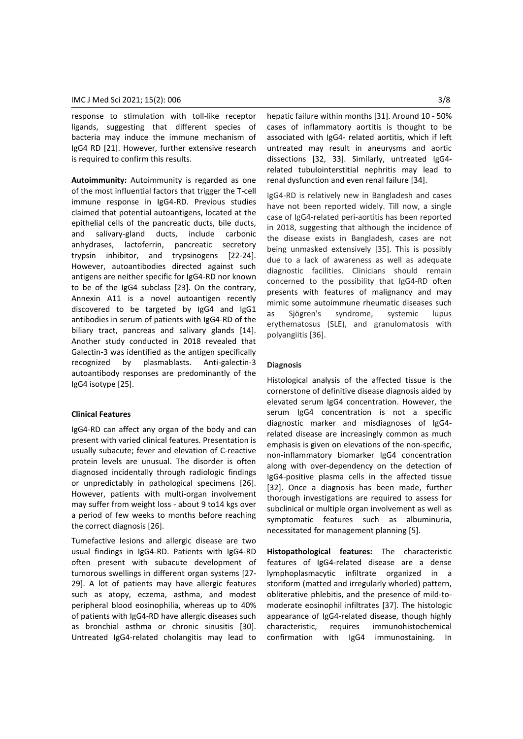response to stimulation with toll-like receptor ligands, suggesting that different species of bacteria may induce the immune mechanism of IgG4 RD [21]. However, further extensive research is required to confirm this results.

**Autoimmunity:** Autoimmunity is regarded as one of the most influential factors that trigger the T-cell immune response in IgG4-RD. Previous studies claimed that potential autoantigens, located at the epithelial cells of the pancreatic ducts, bile ducts, and salivary-gland ducts, include carbonic anhydrases, lactoferrin, pancreatic secretory trypsin inhibitor, and trypsinogens [22-24]. However, autoantibodies directed against such antigens are neither specific for IgG4-RD nor known to be of the IgG4 subclass [23]. On the contrary, Annexin A11 is a novel autoantigen recently discovered to be targeted by IgG4 and IgG1 antibodies in serum of patients with IgG4-RD of the biliary tract, pancreas and salivary glands [14]. Another study conducted in 2018 revealed that Galectin-3 was identified as the antigen specifically recognized by plasmablasts. Anti-galectin-3 autoantibody responses are predominantly of the IgG4 isotype [25].

# **Clinical Features**

IgG4-RD can affect any organ of the body and can present with varied clinical features. Presentation is usually subacute; fever and elevation of C-reactive protein levels are unusual. The disorder is often diagnosed incidentally through radiologic findings or unpredictably in pathological specimens [26]. However, patients with multi-organ involvement may suffer from weight loss - about 9 to14 kgs over a period of few weeks to months before reaching the correct diagnosis [26].

Tumefactive lesions and allergic disease are two usual findings in IgG4-RD. Patients with IgG4-RD often present with subacute development of tumorous swellings in different organ systems [27- 29]. A lot of patients may have allergic features such as atopy, eczema, asthma, and modest peripheral blood eosinophilia, whereas up to 40% of patients with IgG4-RD have allergic diseases such as bronchial asthma or chronic sinusitis [30]. Untreated IgG4-related cholangitis may lead to

hepatic failure within months [31]. Around 10 - 50% cases of inflammatory aortitis is thought to be associated with IgG4- related aortitis, which if left untreated may result in aneurysms and aortic dissections [32, 33]. Similarly, untreated IgG4 related tubulointerstitial nephritis may lead to renal dysfunction and even renal failure [34].

IgG4-RD is relatively new in Bangladesh and cases have not been reported widely. Till now, a single case of IgG4-related peri-aortitis has been reported in 2018, suggesting that although the incidence of the disease exists in Bangladesh, cases are not being unmasked extensively [35]. This is possibly due to a lack of awareness as well as adequate diagnostic facilities. Clinicians should remain concerned to the possibility that IgG4-RD often presents with features of malignancy and may mimic some autoimmune rheumatic diseases such as Sjögren's syndrome, systemic lupus erythematosus (SLE), and granulomatosis with polyangiitis [36].

#### **Diagnosis**

Histological analysis of the affected tissue is the cornerstone of definitive disease diagnosis aided by elevated serum IgG4 concentration. However, the serum IgG4 concentration is not a specific diagnostic marker and misdiagnoses of IgG4 related disease are increasingly common as much emphasis is given on elevations of the non-specific, non-inflammatory biomarker IgG4 concentration along with over-dependency on the detection of IgG4-positive plasma cells in the affected tissue [32]. Once a diagnosis has been made, further thorough investigations are required to assess for subclinical or multiple organ involvement as well as symptomatic features such as albuminuria, necessitated for management planning [5].

**Histopathological features:** The characteristic features of IgG4-related disease are a dense lymphoplasmacytic infiltrate organized in a storiform (matted and irregularly whorled) pattern, obliterative phlebitis, and the presence of mild-tomoderate eosinophil infiltrates [37]. The histologic appearance of IgG4-related disease, though highly characteristic, requires immunohistochemical confirmation with IgG4 immunostaining. In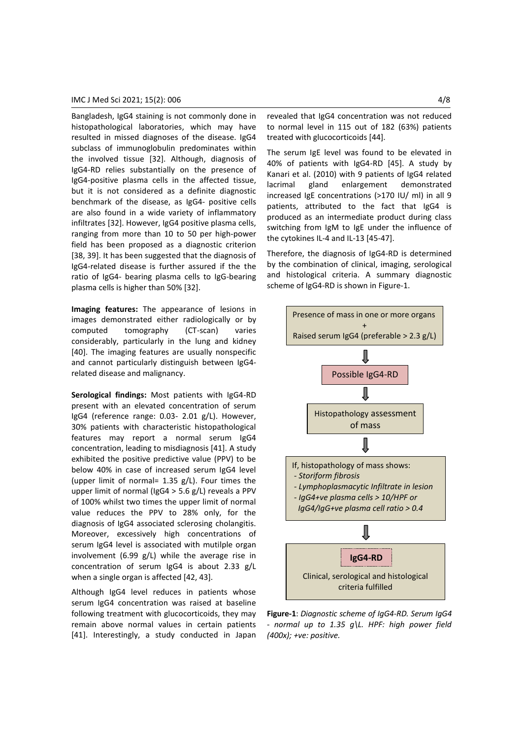## IMC J Med Sci 2021; 15(2): 006 4/8

Bangladesh, IgG4 staining is not commonly done in histopathological laboratories, which may have resulted in missed diagnoses of the disease. IgG4 subclass of immunoglobulin predominates within the involved tissue [32]. Although, diagnosis of IgG4-RD relies substantially on the presence of IgG4-positive plasma cells in the affected tissue, but it is not considered as a definite diagnostic benchmark of the disease, as IgG4- positive cells are also found in a wide variety of inflammatory infiltrates [32]. However, IgG4 positive plasma cells, ranging from more than 10 to 50 per high-power field has been proposed as a diagnostic criterion [38, 39]. It has been suggested that the diagnosis of IgG4-related disease is further assured if the the ratio of IgG4- bearing plasma cells to IgG-bearing plasma cells is higher than 50% [32].

**Imaging features:** The appearance of lesions in images demonstrated either radiologically or by computed tomography (CT-scan) varies considerably, particularly in the lung and kidney [40]. The imaging features are usually nonspecific and cannot particularly distinguish between IgG4 related disease and malignancy.

**Serological findings:** Most patients with IgG4-RD present with an elevated concentration of serum IgG4 (reference range: 0.03- 2.01 g/L). However, 30% patients with characteristic histopathological features may report a normal serum IgG4 concentration, leading to misdiagnosis [41]. A study exhibited the positive predictive value (PPV) to be below 40% in case of increased serum IgG4 level (upper limit of normal= 1.35 g/L). Four times the upper limit of normal (IgG4 > 5.6 g/L) reveals a PPV of 100% whilst two times the upper limit of normal value reduces the PPV to 28% only, for the diagnosis of IgG4 associated sclerosing cholangitis. Moreover, excessively high concentrations of serum IgG4 level is associated with mutilple organ involvement (6.99 g/L) while the average rise in concentration of serum IgG4 is about 2.33 g/L when a single organ is affected [42, 43].

Although IgG4 level reduces in patients whose serum IgG4 concentration was raised at baseline following treatment with glucocorticoids, they may remain above normal values in certain patients [41]. Interestingly, a study conducted in Japan

revealed that IgG4 concentration was not reduced to normal level in 115 out of 182 (63%) patients treated with glucocorticoids [44].

The serum IgE level was found to be elevated in 40% of patients with IgG4-RD [45]. A study by Kanari et al. (2010) with 9 patients of IgG4 related lacrimal gland enlargement demonstrated increased IgE concentrations (>170 IU/ ml) in all 9 patients, attributed to the fact that IgG4 is produced as an intermediate product during class switching from IgM to IgE under the influence of the cytokines IL-4 and IL-13 [45-47].

Therefore, the diagnosis of IgG4-RD is determined by the combination of clinical, imaging, serological and histological criteria. A summary diagnostic scheme of IgG4-RD is shown in Figure-1.



**Figure-1**: *Diagnostic scheme of IgG4-RD. Serum IgG4 - normal up to 1.35 g\L. HPF: high power field (400x); +ve: positive.*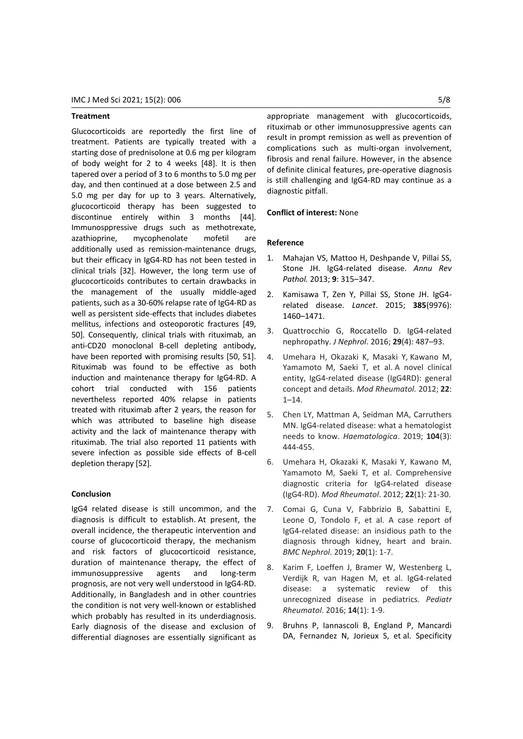## **Treatment**

Glucocorticoids are reportedly the first line of treatment. Patients are typically treated with a starting dose of prednisolone at 0.6 mg per kilogram of body weight for 2 to 4 weeks [48]. It is then tapered over a period of 3 to 6 months to 5.0 mg per day, and then continued at a dose between 2.5 and 5.0 mg per day for up to 3 years. Alternatively, glucocorticoid therapy has been suggested to discontinue entirely within 3 months [44]. Immunosppressive drugs such as methotrexate, azathioprine, mycophenolate mofetil are additionally used as remission-maintenance drugs, but their efficacy in IgG4-RD has not been tested in clinical trials [32]. However, the long term use of glucocorticoids contributes to certain drawbacks in the management of the usually middle-aged patients, such as a 30-60% relapse rate of IgG4-RD as well as persistent side-effects that includes diabetes mellitus, infections and osteoporotic fractures [49, 50]. Consequently, clinical trials with rituximab, an anti-CD20 monoclonal B-cell depleting antibody, have been reported with promising results [50, 51]. Rituximab was found to be effective as both induction and maintenance therapy for IgG4-RD. A cohort trial conducted with 156 patients nevertheless reported 40% relapse in patients treated with rituximab after 2 years, the reason for which was attributed to baseline high disease activity and the lack of maintenance therapy with rituximab. The trial also reported 11 patients with severe infection as possible side effects of B-cell depletion therapy [52].

## **Conclusion**

IgG4 related disease is still uncommon, and the diagnosis is difficult to establish. At present, the overall incidence, the therapeutic intervention and course of glucocorticoid therapy, the mechanism and risk factors of glucocorticoid resistance, duration of maintenance therapy, the effect of immunosuppressive agents and long-term prognosis, are not very well understood in IgG4-RD. Additionally, in Bangladesh and in other countries the condition is not very well-known or established which probably has resulted in its underdiagnosis. Early diagnosis of the disease and exclusion of differential diagnoses are essentially significant as

appropriate management with glucocorticoids, rituximab or other immunosuppressive agents can result in prompt remission as well as prevention of complications such as multi-organ involvement, fibrosis and renal failure. However, in the absence of definite clinical features, pre-operative diagnosis is still challenging and IgG4-RD may continue as a diagnostic pitfall.

#### **Conflict of interest:** None

#### **Reference**

- 1. Mahajan VS, Mattoo H, Deshpande V, Pillai SS, Stone JH. IgG4-related disease. *Annu Rev Pathol.* 2013; **9**: 315–347.
- 2. Kamisawa T, Zen Y, Pillai SS, Stone JH. IgG4 related disease. *Lancet*. 2015; **385**(9976): 1460–1471.
- 3. Quattrocchio G, Roccatello D. IgG4-related nephropathy. *J Nephrol*. 2016; **29**(4): 487–93.
- 4. Umehara H, Okazaki K, Masaki Y, Kawano M, Yamamoto M, Saeki T, et al. A novel clinical entity, IgG4-related disease (IgG4RD): general concept and details. *Mod Rheumatol.* 2012; **22**: 1–14.
- 5. Chen LY, Mattman A, Seidman MA, Carruthers MN. IgG4-related disease: what a hematologist needs to know. *Haematologica*. 2019; **104**(3): 444-455.
- 6. Umehara H, Okazaki K, Masaki Y, Kawano M, Yamamoto M, Saeki T, et al. Comprehensive diagnostic criteria for IgG4-related disease (IgG4-RD). *Mod Rheumatol*. 2012; **22**(1): 21-30.
- 7. Comai G, Cuna V, Fabbrizio B, Sabattini E, Leone O, Tondolo F, et al. A case report of IgG4-related disease: an insidious path to the diagnosis through kidney, heart and brain. *BMC Nephrol*. 2019; **20**(1): 1-7.
- 8. Karim F, Loeffen J, Bramer W, Westenberg L, Verdijk R, van Hagen M, et al. IgG4-related disease: a systematic review of this unrecognized disease in pediatrics. *Pediatr Rheumatol*. 2016; **14**(1): 1-9.
- 9. Bruhns P, Iannascoli B, England P, Mancardi DA, Fernandez N, Jorieux S, et al. Specificity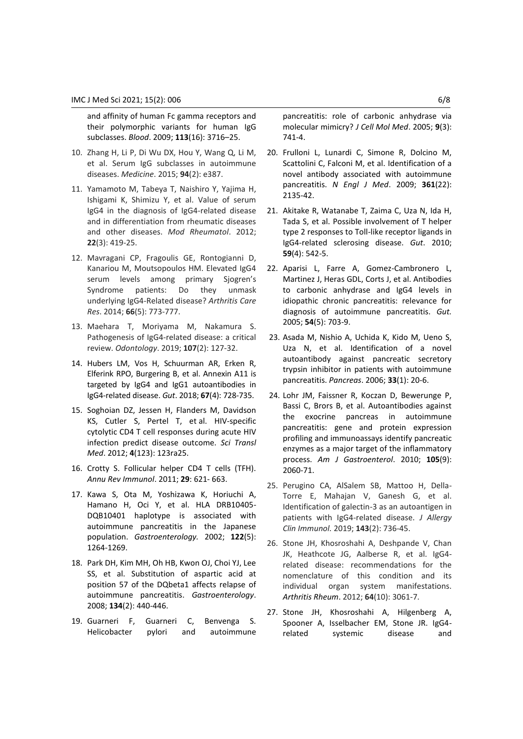and affinity of human Fc gamma receptors and their polymorphic variants for human IgG subclasses. *Blood*. 2009; **113**(16): 3716–25.

- 10. Zhang H, Li P, Di Wu DX, Hou Y, Wang Q, Li M, et al. Serum IgG subclasses in autoimmune diseases. *Medicine*. 2015; **94**(2): e387.
- 11. Yamamoto M, Tabeya T, Naishiro Y, Yajima H, Ishigami K, Shimizu Y, et al. Value of serum IgG4 in the diagnosis of IgG4-related disease and in differentiation from rheumatic diseases and other diseases. *Mod Rheumatol*. 2012; **22**(3): 419-25.
- 12. Mavragani CP, Fragoulis GE, Rontogianni D, Kanariou M, Moutsopoulos HM. Elevated IgG4 serum levels among primary Sjogren's Syndrome patients: Do they unmask underlying IgG4-Related disease? *Arthritis Care Res*. 2014; **66**(5): 773-777.
- 13. Maehara T, Moriyama M, Nakamura S. Pathogenesis of IgG4-related disease: a critical review. *Odontology*. 2019; **107**(2): 127-32.
- 14. Hubers LM, Vos H, Schuurman AR, Erken R, Elferink RPO, Burgering B, et al. Annexin A11 is targeted by IgG4 and IgG1 autoantibodies in IgG4-related disease. *Gut*. 2018; **67**(4): 728-735.
- 15. Soghoian DZ, Jessen H, Flanders M, Davidson KS, Cutler S, Pertel T, et al. HIV-specific cytolytic CD4 T cell responses during acute HIV infection predict disease outcome. *Sci Transl Med*. 2012; **4**(123): 123ra25.
- 16. Crotty S. Follicular helper CD4 T cells (TFH). *Annu Rev Immunol*. 2011; **29**: 621- 663.
- 17. Kawa S, Ota M, Yoshizawa K, Horiuchi A, Hamano H, Oci Y, et al. HLA DRB10405- DQB10401 haplotype is associated with autoimmune pancreatitis in the Japanese population. *Gastroenterology.* 2002; **122**(5): 1264-1269.
- 18. Park DH, Kim MH, Oh HB, Kwon OJ, Choi YJ, Lee SS, et al. Substitution of aspartic acid at position 57 of the DQbeta1 affects relapse of autoimmune pancreatitis. *Gastroenterology*. 2008; **134**(2): 440-446.
- 19. Guarneri F, Guarneri C, Benvenga S. Helicobacter pylori and autoimmune

pancreatitis: role of carbonic anhydrase via molecular mimicry? *J Cell Mol Med*. 2005; **9**(3): 741-4.

- 20. Frulloni L, Lunardi C, Simone R, Dolcino M, Scattolini C, Falconi M, et al. Identification of a novel antibody associated with autoimmune pancreatitis. *N Engl J Med*. 2009; **361**(22): 2135-42.
- 21. Akitake R, Watanabe T, Zaima C, Uza N, Ida H, Tada S, et al. Possible involvement of T helper type 2 responses to Toll-like receptor ligands in IgG4-related sclerosing disease. *Gut*. 2010; **59**(4): 542-5.
- 22. Aparisi L, Farre A, Gomez-Cambronero L, Martinez J, Heras GDL, Corts J, et al. Antibodies to carbonic anhydrase and IgG4 levels in idiopathic chronic pancreatitis: relevance for diagnosis of autoimmune pancreatitis. *Gut.* 2005; **54**(5): 703-9.
- 23. Asada M, Nishio A, Uchida K, Kido M, Ueno S, Uza N, et al. Identification of a novel autoantibody against pancreatic secretory trypsin inhibitor in patients with autoimmune pancreatitis. *Pancreas*. 2006; **33**(1): 20-6.
- 24. Lohr JM, Faissner R, Koczan D, Bewerunge P, Bassi C, Brors B, et al. Autoantibodies against the exocrine pancreas in autoimmune pancreatitis: gene and protein expression profiling and immunoassays identify pancreatic enzymes as a major target of the inflammatory process. *Am J Gastroenterol*. 2010; **105**(9): 2060-71.
- 25. Perugino CA, AlSalem SB, Mattoo H, Della-Torre E, Mahajan V, Ganesh G, et al. Identification of galectin-3 as an autoantigen in patients with IgG4-related disease. *J Allergy Clin Immunol.* 2019; **143**(2): 736-45.
- 26. Stone JH, Khosroshahi A, Deshpande V, Chan JK, Heathcote JG, Aalberse R, et al. IgG4 related disease: recommendations for the nomenclature of this condition and its individual organ system manifestations. *Arthritis Rheum*. 2012; **64**(10): 3061-7.
- 27. Stone JH, Khosroshahi A, Hilgenberg A, Spooner A, Isselbacher EM, Stone JR. IgG4 related systemic disease and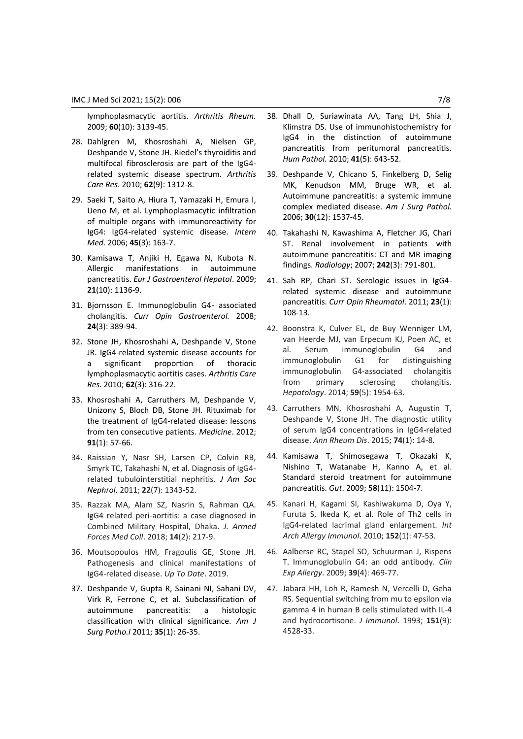lymphoplasmacytic aortitis. *Arthritis Rheum.* 2009; **60**(10): 3139-45.

- 28. Dahlgren M, Khosroshahi A, Nielsen GP, Deshpande V, Stone JH. Riedel's thyroiditis and multifocal fibrosclerosis are part of the IgG4 related systemic disease spectrum. *Arthritis Care Res*. 2010; **62**(9): 1312-8.
- 29. Saeki T, Saito A, Hiura T, Yamazaki H, Emura I, Ueno M, et al. Lymphoplasmacytic infiltration of multiple organs with immunoreactivity for IgG4: IgG4-related systemic disease. *Intern Med.* 2006; **45**(3): 163-7.
- 30. Kamisawa T, Anjiki H, Egawa N, Kubota N. Allergic manifestations in autoimmune pancreatitis. *Eur J Gastroenterol Hepatol*. 2009; **21**(10): 1136-9.
- 31. Bjornsson E. Immunoglobulin G4- associated cholangitis. *Curr Opin Gastroenterol.* 2008; **24**(3): 389-94.
- 32. Stone JH, Khosroshahi A, Deshpande V, Stone JR. IgG4-related systemic disease accounts for a significant proportion of thoracic lymphoplasmacytic aortitis cases. *Arthritis Care Res*. 2010; **62**(3): 316-22.
- 33. Khosroshahi A, Carruthers M, Deshpande V, Unizony S, Bloch DB, Stone JH. Rituximab for the treatment of IgG4-related disease: lessons from ten consecutive patients. *Medicine*. 2012; **91**(1): 57-66.
- 34. Raissian Y, Nasr SH, Larsen CP, Colvin RB, Smyrk TC, Takahashi N, et al. Diagnosis of IgG4 related tubulointerstitial nephritis. *J Am Soc Nephrol.* 2011; **22**(7): 1343-52.
- 35. Razzak MA, Alam SZ, Nasrin S, Rahman QA. IgG4 related peri-aortitis: a case diagnosed in Combined Military Hospital, Dhaka. *J. Armed Forces Med Coll*. 2018; **14**(2): 217-9.
- 36. Moutsopoulos HM, Fragoulis GE, Stone JH. Pathogenesis and clinical manifestations of IgG4-related disease. *Up To Date*. 2019.
- 37. Deshpande V, Gupta R, Sainani NI, Sahani DV, Virk R, Ferrone C, et al. Subclassification of autoimmune pancreatitis: a histologic classification with clinical significance. *Am J Surg Patho.l* 2011; **35**(1): 26-35.
- 38. Dhall D, Suriawinata AA, Tang LH, Shia J, Klimstra DS. Use of immunohistochemistry for IgG4 in the distinction of autoimmune pancreatitis from peritumoral pancreatitis. *Hum Pathol.* 2010; **41**(5): 643-52.
- 39. Deshpande V, Chicano S, Finkelberg D, Selig MK, Kenudson MM, Bruge WR, et al. Autoimmune pancreatitis: a systemic immune complex mediated disease. *Am J Surg Pathol.*  2006; **30**(12): 1537-45.
- 40. Takahashi N, Kawashima A, Fletcher JG, Chari ST. Renal involvement in patients with autoimmune pancreatitis: CT and MR imaging findings. *Radiology*; 2007; **242**(3): 791-801.
- 41. Sah RP, Chari ST. Serologic issues in IgG4 related systemic disease and autoimmune pancreatitis. *Curr Opin Rheumatol*. 2011; **23**(1): 108-13.
- 42. Boonstra K, Culver EL, de Buy Wenniger LM, van Heerde MJ, van Erpecum KJ, Poen AC, et al. Serum immunoglobulin G4 and immunoglobulin G1 for distinguishing immunoglobulin G4‐associated cholangitis from primary sclerosing cholangitis. *Hepatology*. 2014; **59**(5): 1954-63.
- 43. Carruthers MN, Khosroshahi A, Augustin T, Deshpande V, Stone JH. The diagnostic utility of serum IgG4 concentrations in IgG4-related disease. *Ann Rheum Dis*. 2015; **74**(1): 14-8.
- 44. Kamisawa T, Shimosegawa T, Okazaki K, Nishino T, Watanabe H, Kanno A, et al. Standard steroid treatment for autoimmune pancreatitis. *Gut*. 2009; **58**(11): 1504-7.
- 45. Kanari H, Kagami SI, Kashiwakuma D, Oya Y, Furuta S, Ikeda K, et al. Role of Th2 cells in IgG4-related lacrimal gland enlargement. *Int Arch Allergy Immunol*. 2010; **152**(1): 47-53.
- 46. Aalberse RC, Stapel SO, Schuurman J, Rispens T. Immunoglobulin G4: an odd antibody. *Clin Exp Allergy*. 2009; **39**(4): 469-77.
- 47. Jabara HH, Loh R, Ramesh N, Vercelli D, Geha RS. Sequential switching from mu to epsilon via gamma 4 in human B cells stimulated with IL-4 and hydrocortisone. *J Immunol*. 1993; **151**(9): 4528-33.